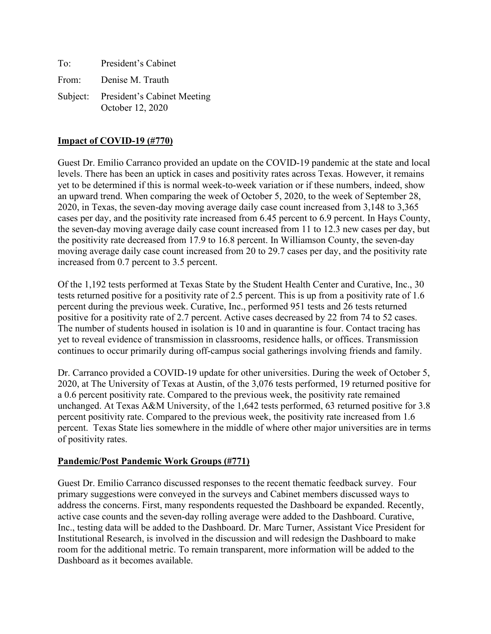| To: | President's Cabinet                                      |
|-----|----------------------------------------------------------|
|     | From: Denise M. Trauth                                   |
|     | Subject: President's Cabinet Meeting<br>October 12, 2020 |

#### **Impact of COVID-19 (#770)**

Guest Dr. Emilio Carranco provided an update on the COVID-19 pandemic at the state and local levels. There has been an uptick in cases and positivity rates across Texas. However, it remains yet to be determined if this is normal week-to-week variation or if these numbers, indeed, show an upward trend. When comparing the week of October 5, 2020, to the week of September 28, 2020, in Texas, the seven-day moving average daily case count increased from 3,148 to 3,365 cases per day, and the positivity rate increased from 6.45 percent to 6.9 percent. In Hays County, the seven-day moving average daily case count increased from 11 to 12.3 new cases per day, but the positivity rate decreased from 17.9 to 16.8 percent. In Williamson County, the seven-day moving average daily case count increased from 20 to 29.7 cases per day, and the positivity rate increased from 0.7 percent to 3.5 percent.

Of the 1,192 tests performed at Texas State by the Student Health Center and Curative, Inc., 30 tests returned positive for a positivity rate of 2.5 percent. This is up from a positivity rate of 1.6 percent during the previous week. Curative, Inc., performed 951 tests and 26 tests returned positive for a positivity rate of 2.7 percent. Active cases decreased by 22 from 74 to 52 cases. The number of students housed in isolation is 10 and in quarantine is four. Contact tracing has yet to reveal evidence of transmission in classrooms, residence halls, or offices. Transmission continues to occur primarily during off-campus social gatherings involving friends and family.

Dr. Carranco provided a COVID-19 update for other universities. During the week of October 5, 2020, at The University of Texas at Austin, of the 3,076 tests performed, 19 returned positive for a 0.6 percent positivity rate. Compared to the previous week, the positivity rate remained unchanged. At Texas A&M University, of the 1,642 tests performed, 63 returned positive for 3.8 percent positivity rate. Compared to the previous week, the positivity rate increased from 1.6 percent. Texas State lies somewhere in the middle of where other major universities are in terms of positivity rates.

#### **Pandemic/Post Pandemic Work Groups (#771)**

Guest Dr. Emilio Carranco discussed responses to the recent thematic feedback survey. Four primary suggestions were conveyed in the surveys and Cabinet members discussed ways to address the concerns. First, many respondents requested the Dashboard be expanded. Recently, active case counts and the seven-day rolling average were added to the Dashboard. Curative, Inc., testing data will be added to the Dashboard. Dr. Marc Turner, Assistant Vice President for Institutional Research, is involved in the discussion and will redesign the Dashboard to make room for the additional metric. To remain transparent, more information will be added to the Dashboard as it becomes available.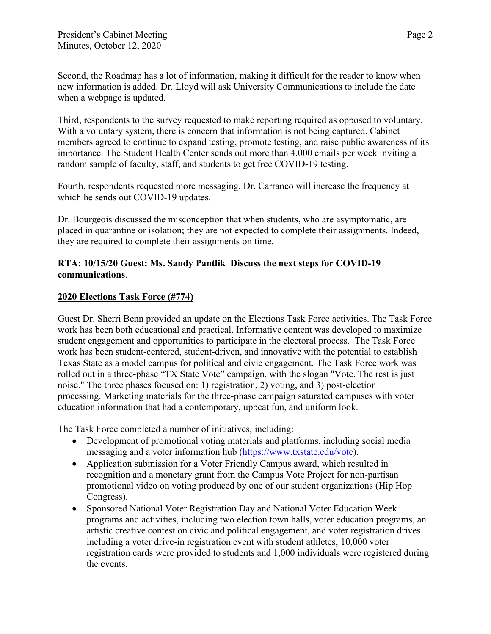Second, the Roadmap has a lot of information, making it difficult for the reader to know when new information is added. Dr. Lloyd will ask University Communications to include the date when a webpage is updated.

Third, respondents to the survey requested to make reporting required as opposed to voluntary. With a voluntary system, there is concern that information is not being captured. Cabinet members agreed to continue to expand testing, promote testing, and raise public awareness of its importance. The Student Health Center sends out more than 4,000 emails per week inviting a random sample of faculty, staff, and students to get free COVID-19 testing.

Fourth, respondents requested more messaging. Dr. Carranco will increase the frequency at which he sends out COVID-19 updates.

Dr. Bourgeois discussed the misconception that when students, who are asymptomatic, are placed in quarantine or isolation; they are not expected to complete their assignments. Indeed, they are required to complete their assignments on time.

## **RTA: 10/15/20 Guest: Ms. Sandy Pantlik Discuss the next steps for COVID-19 communications**.

# **2020 Elections Task Force (#774)**

Guest Dr. Sherri Benn provided an update on the Elections Task Force activities. The Task Force work has been both educational and practical. Informative content was developed to maximize student engagement and opportunities to participate in the electoral process. The Task Force work has been student-centered, student-driven, and innovative with the potential to establish Texas State as a model campus for political and civic engagement. The Task Force work was rolled out in a three-phase "TX State Vote" campaign, with the slogan "Vote. The rest is just noise." The three phases focused on: 1) registration, 2) voting, and 3) post-election processing. Marketing materials for the three-phase campaign saturated campuses with voter education information that had a contemporary, upbeat fun, and uniform look.

The Task Force completed a number of initiatives, including:

- Development of promotional voting materials and platforms, including social media messaging and a voter information hub [\(https://www.txstate.edu/vote\)](https://www.txstate.edu/vote).
- Application submission for a Voter Friendly Campus award, which resulted in recognition and a monetary grant from the Campus Vote Project for non-partisan promotional video on voting produced by one of our student organizations (Hip Hop Congress).
- Sponsored National Voter Registration Day and National Voter Education Week programs and activities, including two election town halls, voter education programs, an artistic creative contest on civic and political engagement, and voter registration drives including a voter drive-in registration event with student athletes; 10,000 voter registration cards were provided to students and 1,000 individuals were registered during the events.